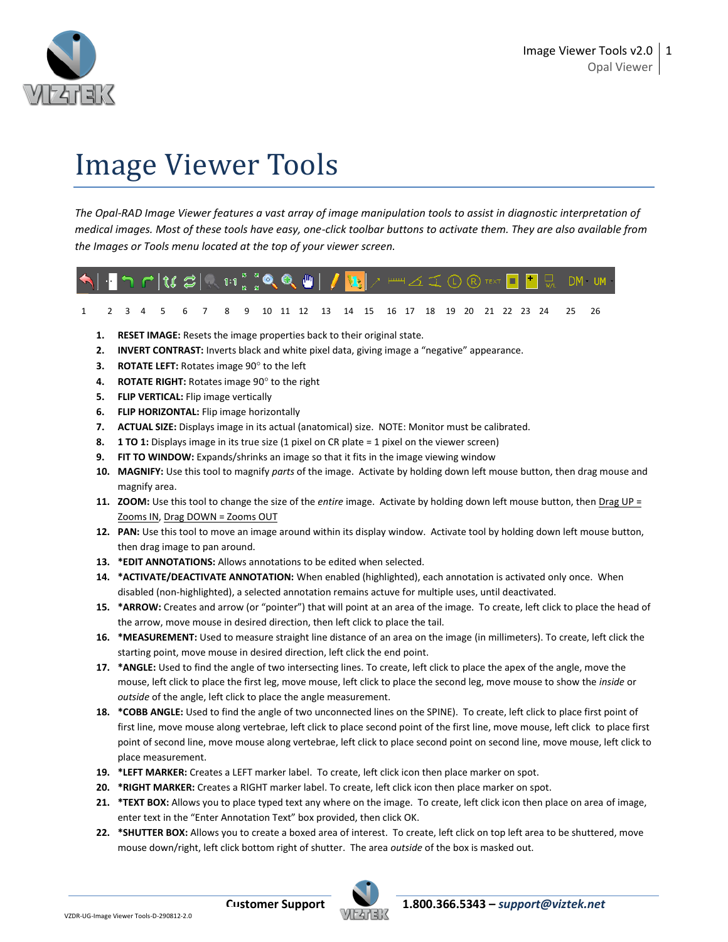

# Image Viewer Tools

*The Opal-RAD Image Viewer features a vast array of image manipulation tools to assist in diagnostic interpretation of medical images. Most of these tools have easy, one-click toolbar buttons to activate them. They are also available from the Images or Tools menu located at the top of your viewer screen.*

# $DM$   $UM$

- 1 2 3 4 5 6 7 8 9 10 11 12 13 14 15 16 17 18 19 20 21 22 23 24 25 26
- **1. RESET IMAGE:** Resets the image properties back to their original state.
- **2. INVERT CONTRAST:** Inverts black and white pixel data, giving image a "negative" appearance.
- **3. ROTATE LEFT:** Rotates image 90° to the left
- 4. **ROTATE RIGHT:** Rotates image 90° to the right
- **5. FLIP VERTICAL:** Flip image vertically
- **6. FLIP HORIZONTAL:** Flip image horizontally
- **7. ACTUAL SIZE:** Displays image in its actual (anatomical) size. NOTE: Monitor must be calibrated.
- **8. 1 TO 1:** Displays image in its true size (1 pixel on CR plate = 1 pixel on the viewer screen)
- **9. FIT TO WINDOW:** Expands/shrinks an image so that it fits in the image viewing window
- **10. MAGNIFY:** Use this tool to magnify *parts* of the image. Activate by holding down left mouse button, then drag mouse and magnify area.
- **11. ZOOM:** Use this tool to change the size of the *entire* image. Activate by holding down left mouse button, then Drag UP = Zooms IN, Drag DOWN = Zooms OUT
- **12. PAN:** Use this tool to move an image around within its display window. Activate tool by holding down left mouse button, then drag image to pan around.
- **13. \*EDIT ANNOTATIONS:** Allows annotations to be edited when selected.
- **14. \*ACTIVATE/DEACTIVATE ANNOTATION:** When enabled (highlighted), each annotation is activated only once. When disabled (non-highlighted), a selected annotation remains actuve for multiple uses, until deactivated.
- **15. \*ARROW:** Creates and arrow (or "pointer") that will point at an area of the image. To create, left click to place the head of the arrow, move mouse in desired direction, then left click to place the tail.
- **16. \*MEASUREMENT:** Used to measure straight line distance of an area on the image (in millimeters). To create, left click the starting point, move mouse in desired direction, left click the end point.
- **17. \*ANGLE:** Used to find the angle of two intersecting lines. To create, left click to place the apex of the angle, move the mouse, left click to place the first leg, move mouse, left click to place the second leg, move mouse to show the *inside* or *outside* of the angle, left click to place the angle measurement.
- **18. \*COBB ANGLE:** Used to find the angle of two unconnected lines on the SPINE). To create, left click to place first point of first line, move mouse along vertebrae, left click to place second point of the first line, move mouse, left click to place first point of second line, move mouse along vertebrae, left click to place second point on second line, move mouse, left click to place measurement.
- **19. \*LEFT MARKER:** Creates a LEFT marker label. To create, left click icon then place marker on spot.
- **20. \*RIGHT MARKER:** Creates a RIGHT marker label. To create, left click icon then place marker on spot.
- **21. \*TEXT BOX:** Allows you to place typed text any where on the image. To create, left click icon then place on area of image, enter text in the "Enter Annotation Text" box provided, then click OK.
- **22. \*SHUTTER BOX:** Allows you to create a boxed area of interest. To create, left click on top left area to be shuttered, move mouse down/right, left click bottom right of shutter. The area *outside* of the box is masked out.

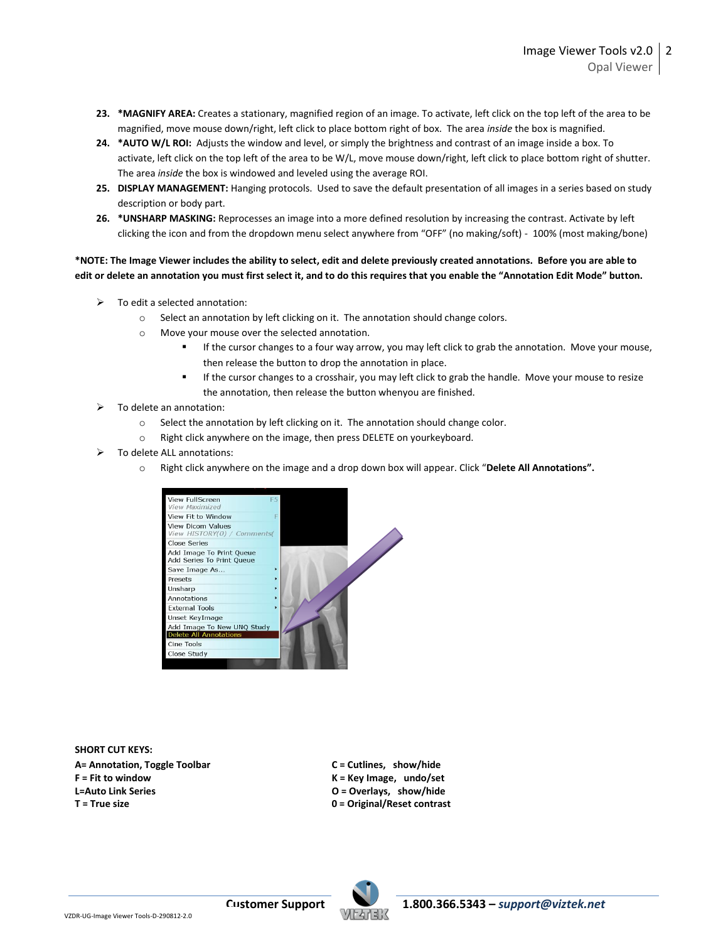- **23. \*MAGNIFY AREA:** Creates a stationary, magnified region of an image. To activate, left click on the top left of the area to be magnified, move mouse down/right, left click to place bottom right of box. The area *inside* the box is magnified.
- **24. \*AUTO W/L ROI:** Adjusts the window and level, or simply the brightness and contrast of an image inside a box. To activate, left click on the top left of the area to be W/L, move mouse down/right, left click to place bottom right of shutter. The area *inside* the box is windowed and leveled using the average ROI.
- **25. DISPLAY MANAGEMENT:** Hanging protocols. Used to save the default presentation of all images in a series based on study description or body part.
- **26. \*UNSHARP MASKING:** Reprocesses an image into a more defined resolution by increasing the contrast. Activate by left clicking the icon and from the dropdown menu select anywhere from "OFF" (no making/soft) - 100% (most making/bone)

### **\*NOTE: The Image Viewer includes the ability to select, edit and delete previously created annotations. Before you are able to edit or delete an annotation you must first select it, and to do this requires that you enable the "Annotation Edit Mode" button.**

- $\triangleright$  To edit a selected annotation:
	- o Select an annotation by left clicking on it. The annotation should change colors.
	- o Move your mouse over the selected annotation.
		- If the cursor changes to a four way arrow, you may left click to grab the annotation. Move your mouse, then release the button to drop the annotation in place.
		- If the cursor changes to a crosshair, you may left click to grab the handle. Move your mouse to resize the annotation, then release the button whenyou are finished.
- To delete an annotation:
	- $\circ$  Select the annotation by left clicking on it. The annotation should change color.
	- o Right click anywhere on the image, then press DELETE on yourkeyboard.
- To delete ALL annotations:
	- o Right click anywhere on the image and a drop down box will appear. Click "**Delete All Annotations".**



**SHORT CUT KEYS: A= Annotation, Toggle Toolbar C = Cutlines, show/hide F = Fit to window K = Key Image, undo/set L=Auto Link Series O = Overlays, show/hide T = True size 0 = Original/Reset contrast**

- 
- 
-